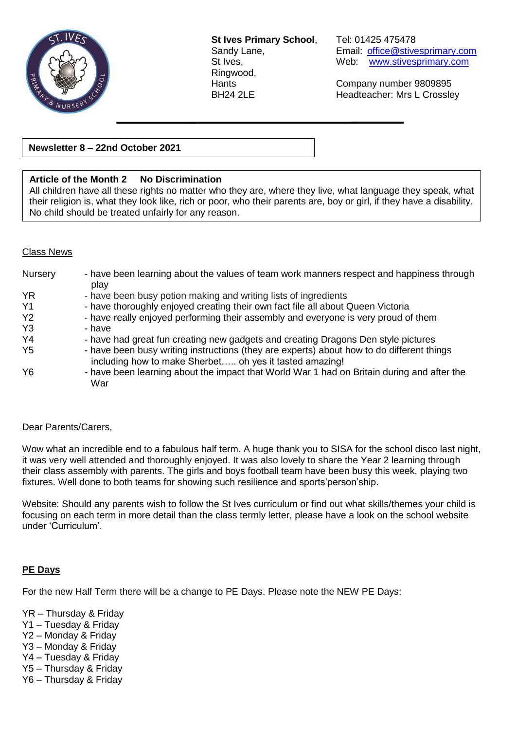

**St Ives Primary School**, Tel: 01425 475478 Ringwood,

Sandy Lane, Email: [office@stivesprimary.com](mailto:office@stivesprimary.com) St Ives, Web: [www.stivesprimary.com](http://www.stives.dorset.sch.uk/)

Hants Company number 9809895 BH24 2LE Headteacher: Mrs L Crossley

## **Newsletter 8 – 22nd October 2021**

# **Article of the Month 2 No Discrimination**

All children have all these rights no matter who they are, where they live, what language they speak, what their religion is, what they look like, rich or poor, who their parents are, boy or girl, if they have a disability. No child should be treated unfairly for any reason.

#### Class News

| Nursery        | - have been learning about the values of team work manners respect and happiness through<br>play                                                     |
|----------------|------------------------------------------------------------------------------------------------------------------------------------------------------|
| <b>YR</b>      | - have been busy potion making and writing lists of ingredients                                                                                      |
| Y <sub>1</sub> | - have thoroughly enjoyed creating their own fact file all about Queen Victoria                                                                      |
| Y <sub>2</sub> | - have really enjoyed performing their assembly and everyone is very proud of them                                                                   |
| Y <sub>3</sub> | - have                                                                                                                                               |
| Y <sub>4</sub> | - have had great fun creating new gadgets and creating Dragons Den style pictures                                                                    |
| Y <sub>5</sub> | - have been busy writing instructions (they are experts) about how to do different things<br>including how to make Sherbet oh yes it tasted amazing! |
| Y <sub>6</sub> | - have been learning about the impact that World War 1 had on Britain during and after the<br>War                                                    |

#### Dear Parents/Carers,

Wow what an incredible end to a fabulous half term. A huge thank you to SISA for the school disco last night, it was very well attended and thoroughly enjoyed. It was also lovely to share the Year 2 learning through their class assembly with parents. The girls and boys football team have been busy this week, playing two fixtures. Well done to both teams for showing such resilience and sports'person'ship.

Website: Should any parents wish to follow the St Ives curriculum or find out what skills/themes your child is focusing on each term in more detail than the class termly letter, please have a look on the school website under 'Curriculum'.

#### **PE Days**

For the new Half Term there will be a change to PE Days. Please note the NEW PE Days:

- YR Thursday & Friday
- Y1 Tuesday & Friday
- Y2 Monday & Friday
- Y3 Monday & Friday
- Y4 Tuesday & Friday
- Y5 Thursday & Friday
- Y6 Thursday & Friday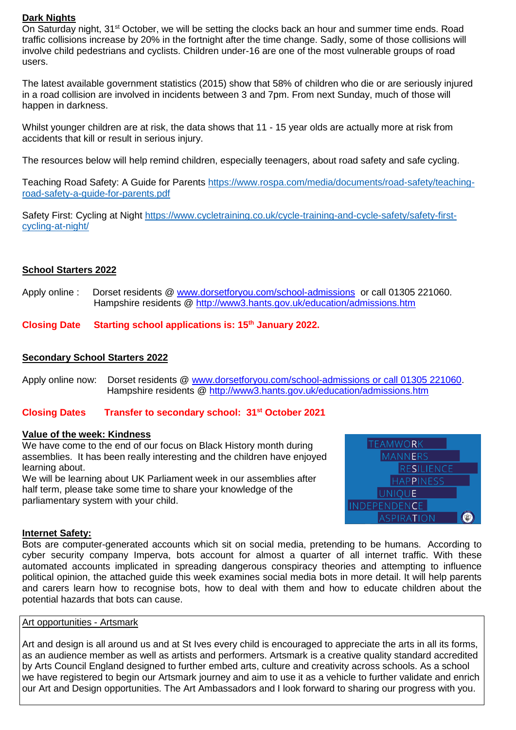# **Dark Nights**

On Saturday night, 31<sup>st</sup> October, we will be setting the clocks back an hour and summer time ends. Road traffic collisions increase by 20% in the fortnight after the time change. Sadly, some of those collisions will involve child pedestrians and cyclists. Children under-16 are one of the most vulnerable groups of road users.

The latest available government statistics (2015) show that 58% of children who die or are seriously injured in a road collision are involved in incidents between 3 and 7pm. From next Sunday, much of those will happen in darkness.

Whilst younger children are at risk, the data shows that 11 - 15 year olds are actually more at risk from accidents that kill or result in serious injury.

The resources below will help remind children, especially teenagers, about road safety and safe cycling.

Teaching Road Safety: A Guide for Parents [https://www.rospa.com/media/documents/road-safety/teaching](https://www.rospa.com/media/documents/road-safety/teaching-road-safety-a-guide-for-parents.pdf)[road-safety-a-guide-for-parents.pdf](https://www.rospa.com/media/documents/road-safety/teaching-road-safety-a-guide-for-parents.pdf)

Safety First: Cycling at Night [https://www.cycletraining.co.uk/cycle-training-and-cycle-safety/safety-first](https://www.cycletraining.co.uk/cycle-training-and-cycle-safety/safety-first-cycling-at-night/)[cycling-at-night/](https://www.cycletraining.co.uk/cycle-training-and-cycle-safety/safety-first-cycling-at-night/)

### **School Starters 2022**

Apply online : Dorset residents @ [www.dorsetforyou.com/school-admissions](http://www.dorsetforyou.com/school-admissions) or call 01305 221060. Hampshire residents @<http://www3.hants.gov.uk/education/admissions.htm>

## **Closing Date Starting school applications is: 15th January 2022.**

### **Secondary School Starters 2022**

Apply online now: Dorset residents @ [www.dorsetforyou.com/school-admissions or call 01305 221060.](http://www.dorsetforyou.com/school-admissions%20or%20call%2001305%20221060) Hampshire residents @<http://www3.hants.gov.uk/education/admissions.htm>

## **Closing Dates Transfer to secondary school: 31st October 2021**

#### **Value of the week: Kindness**

We have come to the end of our focus on Black History month during assemblies. It has been really interesting and the children have enjoyed learning about.

We will be learning about UK Parliament week in our assemblies after half term, please take some time to share your knowledge of the parliamentary system with your child.



#### **Internet Safety:**

Bots are computer-generated accounts which sit on social media, pretending to be humans. According to cyber security company Imperva, bots account for almost a quarter of all internet traffic. With these automated accounts implicated in spreading dangerous conspiracy theories and attempting to influence political opinion, the attached guide this week examines social media bots in more detail. It will help parents and carers learn how to recognise bots, how to deal with them and how to educate children about the potential hazards that bots can cause.

## Art opportunities - Artsmark

Art and design is all around us and at St Ives every child is encouraged to appreciate the arts in all its forms, as an audience member as well as artists and performers. Artsmark is a creative quality standard accredited by Arts Council England designed to further embed arts, culture and creativity across schools. As a school we have registered to begin our Artsmark journey and aim to use it as a vehicle to further validate and enrich our Art and Design opportunities. The Art Ambassadors and I look forward to sharing our progress with you.